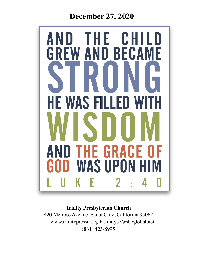**December 27, 2020**



### **Trinity Presbyterian Church**

420 Melrose Avenue, Santa Cruz, California 95062 [www.trinitypressc.org](http://www.trinitypressc.org) ♦ [trinitysc@sbcglobal.net](mailto:trinitysc@sbcglobal.net) [\(831\) 423-8995](mailto:trinitysc@sbcglobal.net)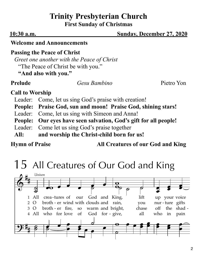## **Trinity Presbyterian Church**

**First Sunday of Christmas** 

**10:30 a.m. Sunday, December 27, 2020** 

### **Welcome and Announcements**

## **Passing the Peace of Christ**

 *Greet one another with the Peace of Christ*  "The Peace of Christ be with you."

**"And also with you."**

**Prelude** *Gesu Bambino* Pietro Yon

## **Call to Worship**

Leader: Come, let us sing God's praise with creation!

 **People: Praise God, sun and moon! Praise God, shining stars!** 

Leader: Come, let us sing with Simeon and Anna!

 **People: Our eyes have seen salvation, God's gift for all people!** 

Leader: Come let us sing God's praise together

All: and worship the Christ-child born for us!

**Hymn of Praise All Creatures of our God and King**

# 15 All Creatures of Our God and King

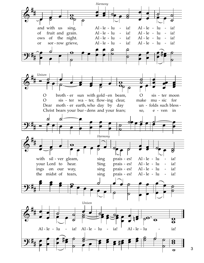

3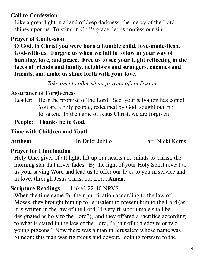## **Call to Confession**

 Like a great light in a land of deep darkness, the mercy of the Lord shines upon us. Trusting in God's grace, let us confess our sin.

## **Prayer of Confession**

 **O God, in Christ you were born a humble child, love-made-flesh, God-with-us. Forgive us when we fail to follow in your way of humility, love, and peace. Free us to see your Light reflecting in the faces of friends and family, neighbors and strangers, enemies and friends, and make us shine forth with your love.** 

*Take time to offer silent prayers of confession.*

## **Assurance of Forgiveness**

Leader: Hear the promise of the Lord: See, your salvation has come! You are a holy people, redeemed by God, sought out, not forsaken. In the name of Jesus Christ, we are forgiven!

**People: Thanks be to God.** 

## **Time with Children and Youth**

**Anthem** In Dulci Jubilo arr. Nicki Kerns

## **Prayer for Illumination**

Holy One, giver of all light, lift up our hearts and minds to Christ, the morning star that never fades. By the light of your Holy Spirit reveal to us your saving Word and lead us to offer our lives to you in service and in love; through Jesus Christ our Lord. **Amen.** 

## **Scripture Readings** Luke2:22-40 NRVS

When the time came for their purification according to the law of Moses, they brought him up to Jerusalem to present him to the Lord (as it is written in the law of the Lord, "Every firstborn male shall be designated as holy to the Lord"), and they offered a sacrifice according to what is stated in the law of the Lord, "a pair of turtledoves or two young pigeons." Now there was a man in Jerusalem whose name was Simeon; this man was righteous and devout, looking forward to the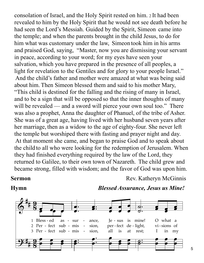consolation of Israel, and the Holy Spirit rested on him. 2 It had been revealed to him by the Holy Spirit that he would not see death before he had seen the Lord's Messiah. Guided by the Spirit, Simeon came into the temple; and when the parents brought in the child Jesus, to do for him what was customary under the law, Simeon took him in his arms and praised God, saying, "Master, now you are dismissing your servant in peace, according to your word; for my eyes have seen your salvation, which you have prepared in the presence of all peoples, a light for revelation to the Gentiles and for glory to your people Israel." And the child's father and mother were amazed at what was being said about him. Then Simeon blessed them and said to his mother Mary, "This child is destined for the falling and the rising of many in Israel, and to be a sign that will be opposed so that the inner thoughts of many will be revealed — and a sword will pierce your own soul too." There was also a prophet, Anna the daughter of Phanuel, of the tribe of Asher. She was of a great age, having lived with her husband seven years after her marriage, then as a widow to the age of eighty-four. She never left the temple but worshiped there with fasting and prayer night and day. At that moment she came, and began to praise God and to speak about the child to all who were looking for the redemption of Jerusalem. When they had finished everything required by the law of the Lord, they returned to Galilee, to their own town of Nazareth. The child grew and became strong, filled with wisdom; and the favor of God was upon him.

### **Rev. Katheryn McGinnis**

### $\Phi$ <u>?</u> # # # # **8**<br>8 <u>ց</u> **88** <u>ց</u>  $\overline{\cdots}$ 1 Bless ed 2 Per fect sub mis 3 Per fect sub mis - - - - ed as - sur - ance, Je **e** œ œ œ  $\frac{2}{\pi}$ **P** .<br>.<br>. <u>:</u> œ  $\begin{array}{ccc} \bullet \cdot & \bullet \cdot \\ \bullet \cdot & \bullet \cdot \end{array}$  $\overline{\bullet}$ :  $\overline{\bullet}$   $\overline{\bullet}$ œ œ œ œ œ ance, sion, sion, Je sus is mine! - fect sub - mis - sion, per-fect de-light, viall is at  $\overline{\bullet}$ :  $\frac{\cdot}{\cdot}$  $\frac{e}{\cdot}$ e<br>E œ  $\overset{\bullet}{\bullet}\overset{\bullet}{\bullet}$ **P** œ œ .<br>.<br>. .<br>.  $\overline{\mathbf{S}}$ ˙ œ **e e** œ œ rest; O what a vi sions of I in my .<br>3.  $\mathbf{z}$ : œ œ œ œ e<br>E

## Hymn

Sermon

**Hymn** *Blessed Assurance, Jesus us Mine!*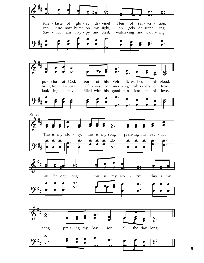

6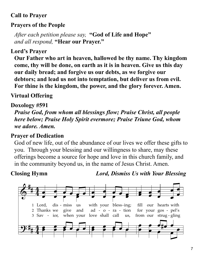## **Call to Prayer**

## **Prayers of the People**

```
 After each petition please say, "God of Life and Hope"
and all respond, "Hear our Prayer."
```
## **Lord's Prayer**

 **Our Father who art in heaven, hallowed be thy name. Thy kingdom come, thy will be done, on earth as it is in heaven. Give us this day our daily bread; and forgive us our debts, as we forgive our debtors; and lead us not into temptation, but deliver us from evil. For thine is the kingdom, the power, and the glory forever. Amen.** 

## **Virtual Offering**

## **Doxology #591**

*Praise God, from whom all blessings flow; Praise Christ, all people here below; Praise Holy Spirit evermore; Praise Triune God, whom we adore. Amen.* 

## **Prayer of Dedication**

God of new life, out of the abundance of our lives we offer these gifts to you. Through your blessing and our willingness to share, may these offerings become a source for hope and love in this church family, and in the community beyond us, in the name of Jesus Christ. Amen.

**Closing Hymn** 

 **Closing Hymn** *Lord, Dismiss Us with Your Blessing* Lord, Dismiss Us with Your Blessing

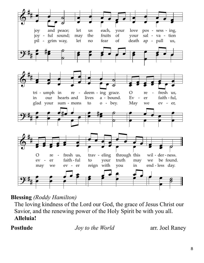

### **These ing** (Roddy Hamilton) **ing** (Roddy Hamilton) who dedicated his entire ministery to a small church in rural Yorkshire. The tune used here was first to a significant vector was first to a significant vector was first to a significant vector was f

The loving kindness of the Lord our God, the grace of Jesus Christ our Savior, and the renewing power of the Holy Spirit be with you all. **Alleluia!**  avior, and the rene SICILIAN MARINERS ST 8.7.8.7.8.7  $\begin{array}{ccc} \bullet & \bullet & \bullet \\ \bullet & \bullet & \bullet & \bullet \end{array}$ 

**Postlude** *<i>Joy to the World* arr. Joel Raney